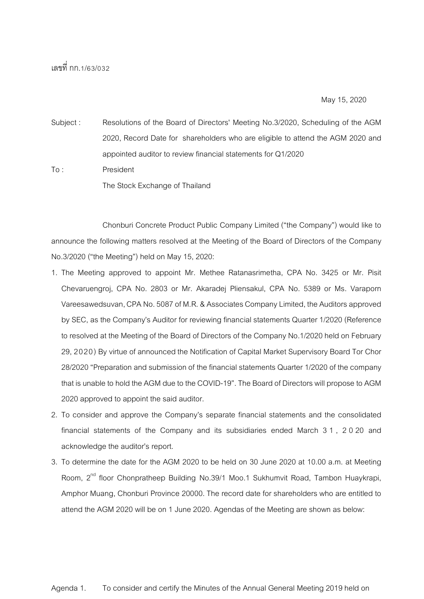## เลขที่ กก.1/63/032

May 15, 2020

Subject : Resolutions of the Board of Directors' Meeting No.3/2020, Scheduling of the AGM 2020, Record Date for shareholders who are eligible to attend the AGM 2020 and appointed auditor to review financial statements for Q1/2020

To : President The Stock Exchange of Thailand

Chonburi Concrete Product Public Company Limited ("the Company") would like to announce the following matters resolved at the Meeting of the Board of Directors of the Company No.3/2020 ("the Meeting") held on May 15, 2020:

- 1. The Meeting approved to appoint Mr. Methee Ratanasrimetha, CPA No. 3425 or Mr. Pisit Chevaruengroj, CPA No. 2803 or Mr. Akaradej Pliensakul, CPA No. 5389 or Ms. Varaporn Vareesawedsuvan, CPA No. 5087 of M.R. & Associates Company Limited, the Auditors approved by SEC, as the Company's Auditor for reviewing financial statements Quarter 1/2020 (Reference to resolved at the Meeting of the Board of Directors of the Company No.1/2020 held on February 29, 2020) By virtue of announced the Notification of Capital Market Supervisory Board Tor Chor 28/2020 "Preparation and submission of the financial statements Quarter 1/2020 of the company that is unable to hold the AGM due to the COVID-19". The Board of Directors will propose to AGM 2020 approved to appoint the said auditor.
- 2. To consider and approve the Company's separate financial statements and the consolidated financial statements of the Company and its subsidiaries ended March 3 1 , 2 0 20 and acknowledge the auditor's report.
- 3. To determine the date for the AGM 2020 to be held on 30 June 2020 at 10.00 a.m. at Meeting Room,  $2^{nd}$  floor Chonpratheep Building No.39/1 Moo.1 Sukhumvit Road, Tambon Huaykrapi, Amphor Muang, Chonburi Province 20000. The record date for shareholders who are entitled to attend the AGM 2020 will be on 1 June 2020. Agendas of the Meeting are shown as below: